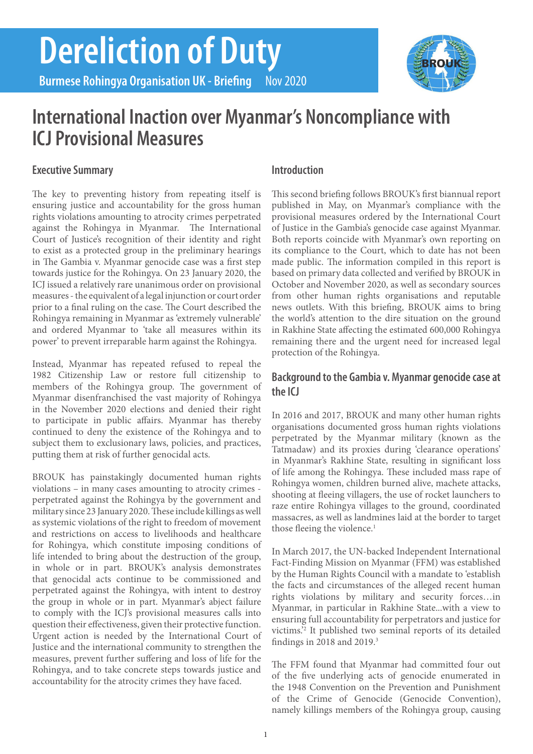# **Dereliction of Duty**

**Burmese Rohingya Organisation UK - Briefing Nov 2020** 

## **International Inaction over Myanmar's Noncompliance with ICJ Provisional Measures**

#### **Executive Summary**

The key to preventing history from repeating itself is ensuring justice and accountability for the gross human rights violations amounting to atrocity crimes perpetrated against the Rohingya in Myanmar. The International Court of Justice's recognition of their identity and right to exist as a protected group in the preliminary hearings in The Gambia v. Myanmar genocide case was a first step towards justice for the Rohingya. On 23 January 2020, the ICJ issued a relatively rare unanimous order on provisional measures - the equivalent of a legal injunction or court order prior to a final ruling on the case. The Court described the Rohingya remaining in Myanmar as 'extremely vulnerable' and ordered Myanmar to 'take all measures within its power' to prevent irreparable harm against the Rohingya.

Instead, Myanmar has repeated refused to repeal the 1982 Citizenship Law or restore full citizenship to members of the Rohingya group. The government of Myanmar disenfranchised the vast majority of Rohingya in the November 2020 elections and denied their right to participate in public affairs. Myanmar has thereby continued to deny the existence of the Rohingya and to subject them to exclusionary laws, policies, and practices, putting them at risk of further genocidal acts.

BROUK has painstakingly documented human rights violations – in many cases amounting to atrocity crimes perpetrated against the Rohingya by the government and military since 23 January 2020. These include killings as well as systemic violations of the right to freedom of movement and restrictions on access to livelihoods and healthcare for Rohingya, which constitute imposing conditions of life intended to bring about the destruction of the group, in whole or in part. BROUK's analysis demonstrates that genocidal acts continue to be commissioned and perpetrated against the Rohingya, with intent to destroy the group in whole or in part. Myanmar's abject failure to comply with the ICJ's provisional measures calls into question their effectiveness, given their protective function. Urgent action is needed by the International Court of Justice and the international community to strengthen the measures, prevent further suffering and loss of life for the Rohingya, and to take concrete steps towards justice and accountability for the atrocity crimes they have faced.

#### **Introduction**

This second briefing follows BROUK's first biannual report published in May, on Myanmar's compliance with the provisional measures ordered by the International Court of Justice in the Gambia's genocide case against Myanmar. Both reports coincide with Myanmar's own reporting on its compliance to the Court, which to date has not been made public. The information compiled in this report is based on primary data collected and verified by BROUK in October and November 2020, as well as secondary sources from other human rights organisations and reputable news outlets. With this briefing, BROUK aims to bring the world's attention to the dire situation on the ground in Rakhine State affecting the estimated 600,000 Rohingya remaining there and the urgent need for increased legal protection of the Rohingya.

#### **Background to the Gambia v. Myanmar genocide case at the ICJ**

In 2016 and 2017, BROUK and many other human rights organisations documented gross human rights violations perpetrated by the Myanmar military (known as the Tatmadaw) and its proxies during 'clearance operations' in Myanmar's Rakhine State, resulting in significant loss of life among the Rohingya. These included mass rape of Rohingya women, children burned alive, machete attacks, shooting at fleeing villagers, the use of rocket launchers to raze entire Rohingya villages to the ground, coordinated massacres, as well as landmines laid at the border to target those fleeing the violence.<sup>1</sup>

In March 2017, the UN-backed Independent International Fact-Finding Mission on Myanmar (FFM) was established by the Human Rights Council with a mandate to 'establish the facts and circumstances of the alleged recent human rights violations by military and security forces…in Myanmar, in particular in Rakhine State...with a view to ensuring full accountability for perpetrators and justice for victims.'2 It published two seminal reports of its detailed findings in 2018 and 2019.3

The FFM found that Myanmar had committed four out of the five underlying acts of genocide enumerated in the 1948 Convention on the Prevention and Punishment of the Crime of Genocide (Genocide Convention), namely killings members of the Rohingya group, causing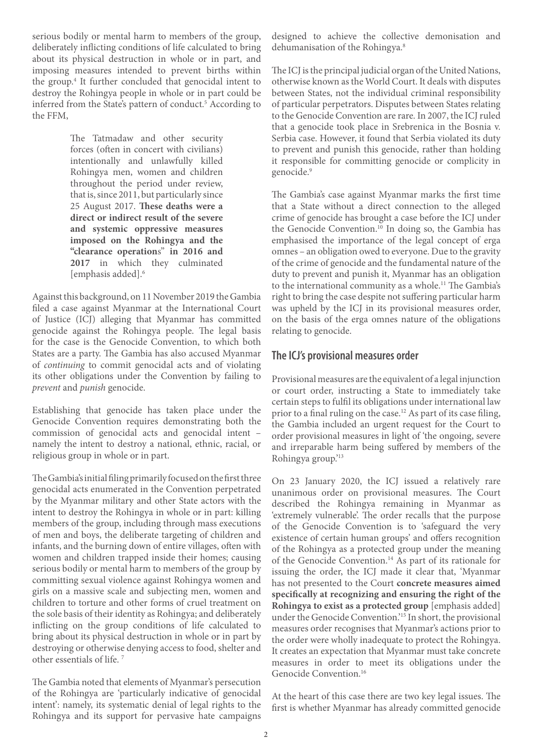serious bodily or mental harm to members of the group, deliberately inflicting conditions of life calculated to bring about its physical destruction in whole or in part, and imposing measures intended to prevent births within the group.4 It further concluded that genocidal intent to destroy the Rohingya people in whole or in part could be inferred from the State's pattern of conduct.<sup>5</sup> According to the FFM,

> The Tatmadaw and other security forces (often in concert with civilians) intentionally and unlawfully killed Rohingya men, women and children throughout the period under review, that is, since 2011, but particularly since 25 August 2017. **These deaths were a direct or indirect result of the severe and systemic oppressive measures imposed on the Rohingya and the "clearance operation**s" **in 2016 and 2017** in which they culminated [emphasis added].6

Against this background, on 11 November 2019 the Gambia filed a case against Myanmar at the International Court of Justice (ICJ) alleging that Myanmar has committed genocide against the Rohingya people. The legal basis for the case is the Genocide Convention, to which both States are a party. The Gambia has also accused Myanmar of *continuing* to commit genocidal acts and of violating its other obligations under the Convention by failing to *prevent* and *punish* genocide.

Establishing that genocide has taken place under the Genocide Convention requires demonstrating both the commission of genocidal acts and genocidal intent – namely the intent to destroy a national, ethnic, racial, or religious group in whole or in part.

The Gambia's initial filing primarily focused on the first three genocidal acts enumerated in the Convention perpetrated by the Myanmar military and other State actors with the intent to destroy the Rohingya in whole or in part: killing members of the group, including through mass executions of men and boys, the deliberate targeting of children and infants, and the burning down of entire villages, often with women and children trapped inside their homes; causing serious bodily or mental harm to members of the group by committing sexual violence against Rohingya women and girls on a massive scale and subjecting men, women and children to torture and other forms of cruel treatment on the sole basis of their identity as Rohingya; and deliberately inflicting on the group conditions of life calculated to bring about its physical destruction in whole or in part by destroying or otherwise denying access to food, shelter and other essentials of life. 7

The Gambia noted that elements of Myanmar's persecution of the Rohingya are 'particularly indicative of genocidal intent': namely, its systematic denial of legal rights to the Rohingya and its support for pervasive hate campaigns

designed to achieve the collective demonisation and dehumanisation of the Rohingya.<sup>8</sup>

The ICJ is the principal judicial organ of the United Nations, otherwise known as the World Court. It deals with disputes between States, not the individual criminal responsibility of particular perpetrators. Disputes between States relating to the Genocide Convention are rare. In 2007, the ICJ ruled that a genocide took place in Srebrenica in the Bosnia v. Serbia case. However, it found that Serbia violated its duty to prevent and punish this genocide, rather than holding it responsible for committing genocide or complicity in genocide.<sup>9</sup>

The Gambia's case against Myanmar marks the first time that a State without a direct connection to the alleged crime of genocide has brought a case before the ICJ under the Genocide Convention.<sup>10</sup> In doing so, the Gambia has emphasised the importance of the legal concept of erga omnes – an obligation owed to everyone. Due to the gravity of the crime of genocide and the fundamental nature of the duty to prevent and punish it, Myanmar has an obligation to the international community as a whole.<sup>11</sup> The Gambia's right to bring the case despite not suffering particular harm was upheld by the ICJ in its provisional measures order, on the basis of the erga omnes nature of the obligations relating to genocide.

#### **The ICJ's provisional measures order**

Provisional measures are the equivalent of a legal injunction or court order, instructing a State to immediately take certain steps to fulfil its obligations under international law prior to a final ruling on the case.<sup>12</sup> As part of its case filing, the Gambia included an urgent request for the Court to order provisional measures in light of 'the ongoing, severe and irreparable harm being suffered by members of the Rohingya group.'13

On 23 January 2020, the ICJ issued a relatively rare unanimous order on provisional measures. The Court described the Rohingya remaining in Myanmar as 'extremely vulnerable'. The order recalls that the purpose of the Genocide Convention is to 'safeguard the very existence of certain human groups' and offers recognition of the Rohingya as a protected group under the meaning of the Genocide Convention.14 As part of its rationale for issuing the order, the ICJ made it clear that, 'Myanmar has not presented to the Court **concrete measures aimed specifically at recognizing and ensuring the right of the Rohingya to exist as a protected group** [emphasis added] under the Genocide Convention.'15 In short, the provisional measures order recognises that Myanmar's actions prior to the order were wholly inadequate to protect the Rohingya. It creates an expectation that Myanmar must take concrete measures in order to meet its obligations under the Genocide Convention.<sup>16</sup>

At the heart of this case there are two key legal issues. The first is whether Myanmar has already committed genocide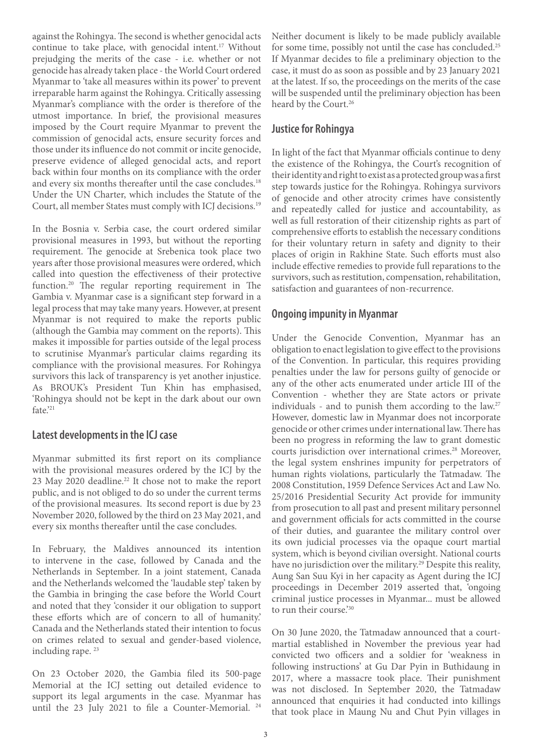against the Rohingya. The second is whether genocidal acts continue to take place, with genocidal intent.<sup>17</sup> Without prejudging the merits of the case - i.e. whether or not genocide has already taken place - the World Court ordered Myanmar to 'take all measures within its power' to prevent irreparable harm against the Rohingya. Critically assessing Myanmar's compliance with the order is therefore of the utmost importance. In brief, the provisional measures imposed by the Court require Myanmar to prevent the commission of genocidal acts, ensure security forces and those under its influence do not commit or incite genocide, preserve evidence of alleged genocidal acts, and report back within four months on its compliance with the order and every six months thereafter until the case concludes.<sup>18</sup> Under the UN Charter, which includes the Statute of the Court, all member States must comply with ICJ decisions.19

In the Bosnia v. Serbia case, the court ordered similar provisional measures in 1993, but without the reporting requirement. The genocide at Srebenica took place two years after those provisional measures were ordered, which called into question the effectiveness of their protective function.20 The regular reporting requirement in The Gambia v. Myanmar case is a significant step forward in a legal process that may take many years. However, at present Myanmar is not required to make the reports public (although the Gambia may comment on the reports). This makes it impossible for parties outside of the legal process to scrutinise Myanmar's particular claims regarding its compliance with the provisional measures. For Rohingya survivors this lack of transparency is yet another injustice. As BROUK's President Tun Khin has emphasised, 'Rohingya should not be kept in the dark about our own fate.'21

#### **Latest developments in the ICJ case**

Myanmar submitted its first report on its compliance with the provisional measures ordered by the ICJ by the 23 May 2020 deadline.<sup>22</sup> It chose not to make the report public, and is not obliged to do so under the current terms of the provisional measures. Its second report is due by 23 November 2020, followed by the third on 23 May 2021, and every six months thereafter until the case concludes.

In February, the Maldives announced its intention to intervene in the case, followed by Canada and the Netherlands in September. In a joint statement, Canada and the Netherlands welcomed the 'laudable step' taken by the Gambia in bringing the case before the World Court and noted that they 'consider it our obligation to support these efforts which are of concern to all of humanity.' Canada and the Netherlands stated their intention to focus on crimes related to sexual and gender-based violence, including rape.<sup>23</sup>

On 23 October 2020, the Gambia filed its 500-page Memorial at the ICJ setting out detailed evidence to support its legal arguments in the case. Myanmar has until the 23 July 2021 to file a Counter-Memorial. <sup>24</sup> Neither document is likely to be made publicly available for some time, possibly not until the case has concluded.<sup>25</sup> If Myanmar decides to file a preliminary objection to the case, it must do as soon as possible and by 23 January 2021 at the latest. If so, the proceedings on the merits of the case will be suspended until the preliminary objection has been heard by the Court.<sup>26</sup>

#### **Justice for Rohingya**

In light of the fact that Myanmar officials continue to deny the existence of the Rohingya, the Court's recognition of their identity and right to exist as a protected group was a first step towards justice for the Rohingya. Rohingya survivors of genocide and other atrocity crimes have consistently and repeatedly called for justice and accountability, as well as full restoration of their citizenship rights as part of comprehensive efforts to establish the necessary conditions for their voluntary return in safety and dignity to their places of origin in Rakhine State. Such efforts must also include effective remedies to provide full reparations to the survivors, such as restitution, compensation, rehabilitation, satisfaction and guarantees of non-recurrence.

#### **Ongoing impunity in Myanmar**

Under the Genocide Convention, Myanmar has an obligation to enact legislation to give effect to the provisions of the Convention. In particular, this requires providing penalties under the law for persons guilty of genocide or any of the other acts enumerated under article III of the Convention - whether they are State actors or private individuals - and to punish them according to the law.<sup>27</sup> However, domestic law in Myanmar does not incorporate genocide or other crimes under international law. There has been no progress in reforming the law to grant domestic courts jurisdiction over international crimes.<sup>28</sup> Moreover, the legal system enshrines impunity for perpetrators of human rights violations, particularly the Tatmadaw. The 2008 Constitution, 1959 Defence Services Act and Law No. 25/2016 Presidential Security Act provide for immunity from prosecution to all past and present military personnel and government officials for acts committed in the course of their duties, and guarantee the military control over its own judicial processes via the opaque court martial system, which is beyond civilian oversight. National courts have no jurisdiction over the military.<sup>29</sup> Despite this reality, Aung San Suu Kyi in her capacity as Agent during the ICJ proceedings in December 2019 asserted that, 'ongoing criminal justice processes in Myanmar... must be allowed to run their course.'30

On 30 June 2020, the Tatmadaw announced that a courtmartial established in November the previous year had convicted two officers and a soldier for 'weakness in following instructions' at Gu Dar Pyin in Buthidaung in 2017, where a massacre took place. Their punishment was not disclosed. In September 2020, the Tatmadaw announced that enquiries it had conducted into killings that took place in Maung Nu and Chut Pyin villages in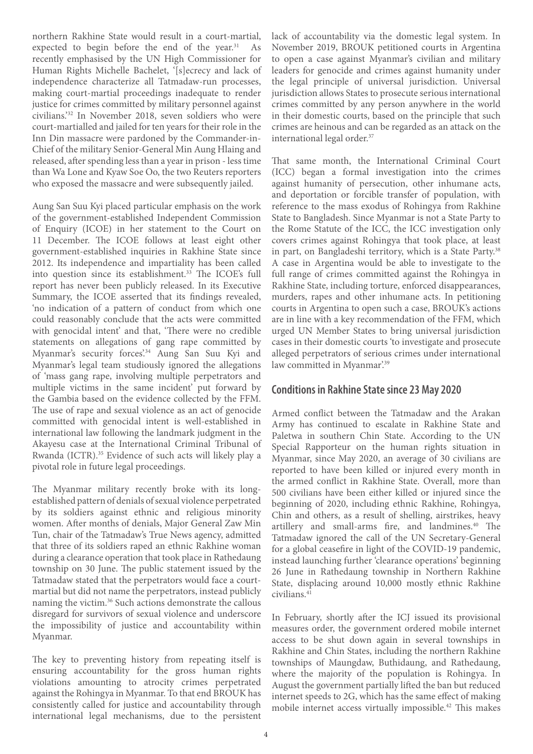4

northern Rakhine State would result in a court-martial, expected to begin before the end of the year. $31$  As recently emphasised by the UN High Commissioner for Human Rights Michelle Bachelet, '[s]ecrecy and lack of independence characterize all Tatmadaw-run processes, making court-martial proceedings inadequate to render justice for crimes committed by military personnel against civilians.'32 In November 2018, seven soldiers who were court-martialled and jailed for ten years for their role in the Inn Din massacre were pardoned by the Commander-in-Chief of the military Senior-General Min Aung Hlaing and released, after spending less than a year in prison - less time than Wa Lone and Kyaw Soe Oo, the two Reuters reporters who exposed the massacre and were subsequently jailed.

Aung San Suu Kyi placed particular emphasis on the work of the government-established Independent Commission of Enquiry (ICOE) in her statement to the Court on 11 December. The ICOE follows at least eight other government-established inquiries in Rakhine State since 2012. Its independence and impartiality has been called into question since its establishment.<sup>33</sup> The ICOE's full report has never been publicly released. In its Executive Summary, the ICOE asserted that its findings revealed, 'no indication of a pattern of conduct from which one could reasonably conclude that the acts were committed with genocidal intent' and that, 'There were no credible statements on allegations of gang rape committed by Myanmar's security forces'.<sup>34</sup> Aung San Suu Kyi and Myanmar's legal team studiously ignored the allegations of 'mass gang rape, involving multiple perpetrators and multiple victims in the same incident' put forward by the Gambia based on the evidence collected by the FFM. The use of rape and sexual violence as an act of genocide committed with genocidal intent is well-established in international law following the landmark judgment in the Akayesu case at the International Criminal Tribunal of Rwanda (ICTR).35 Evidence of such acts will likely play a pivotal role in future legal proceedings.

The Myanmar military recently broke with its longestablished pattern of denials of sexual violence perpetrated by its soldiers against ethnic and religious minority women. After months of denials, Major General Zaw Min Tun, chair of the Tatmadaw's True News agency, admitted that three of its soldiers raped an ethnic Rakhine woman during a clearance operation that took place in Rathedaung township on 30 June. The public statement issued by the Tatmadaw stated that the perpetrators would face a courtmartial but did not name the perpetrators, instead publicly naming the victim.36 Such actions demonstrate the callous disregard for survivors of sexual violence and underscore the impossibility of justice and accountability within Myanmar.

The key to preventing history from repeating itself is ensuring accountability for the gross human rights violations amounting to atrocity crimes perpetrated against the Rohingya in Myanmar. To that end BROUK has consistently called for justice and accountability through international legal mechanisms, due to the persistent

lack of accountability via the domestic legal system. In November 2019, BROUK petitioned courts in Argentina to open a case against Myanmar's civilian and military leaders for genocide and crimes against humanity under the legal principle of universal jurisdiction. Universal jurisdiction allows States to prosecute serious international crimes committed by any person anywhere in the world in their domestic courts, based on the principle that such crimes are heinous and can be regarded as an attack on the international legal order.37

That same month, the International Criminal Court (ICC) began a formal investigation into the crimes against humanity of persecution, other inhumane acts, and deportation or forcible transfer of population, with reference to the mass exodus of Rohingya from Rakhine State to Bangladesh. Since Myanmar is not a State Party to the Rome Statute of the ICC, the ICC investigation only covers crimes against Rohingya that took place, at least in part, on Bangladeshi territory, which is a State Party.<sup>38</sup> A case in Argentina would be able to investigate to the full range of crimes committed against the Rohingya in Rakhine State, including torture, enforced disappearances, murders, rapes and other inhumane acts. In petitioning courts in Argentina to open such a case, BROUK's actions are in line with a key recommendation of the FFM, which urged UN Member States to bring universal jurisdiction cases in their domestic courts 'to investigate and prosecute alleged perpetrators of serious crimes under international law committed in Myanmar'.<sup>39</sup>

#### **Conditions in Rakhine State since 23 May 2020**

Armed conflict between the Tatmadaw and the Arakan Army has continued to escalate in Rakhine State and Paletwa in southern Chin State. According to the UN Special Rapporteur on the human rights situation in Myanmar, since May 2020, an average of 30 civilians are reported to have been killed or injured every month in the armed conflict in Rakhine State. Overall, more than 500 civilians have been either killed or injured since the beginning of 2020, including ethnic Rakhine, Rohingya, Chin and others, as a result of shelling, airstrikes, heavy artillery and small-arms fire, and landmines.<sup>40</sup> The Tatmadaw ignored the call of the UN Secretary-General for a global ceasefire in light of the COVID-19 pandemic, instead launching further 'clearance operations' beginning 26 June in Rathedaung township in Northern Rakhine State, displacing around 10,000 mostly ethnic Rakhine civilians.41

In February, shortly after the ICJ issued its provisional measures order, the government ordered mobile internet access to be shut down again in several townships in Rakhine and Chin States, including the northern Rakhine townships of Maungdaw, Buthidaung, and Rathedaung, where the majority of the population is Rohingya. In August the government partially lifted the ban but reduced internet speeds to 2G, which has the same effect of making mobile internet access virtually impossible.<sup>42</sup> This makes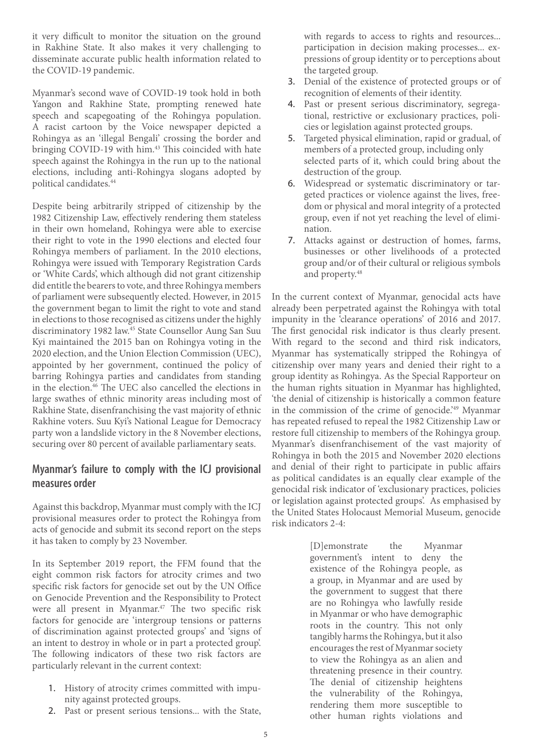it very difficult to monitor the situation on the ground in Rakhine State. It also makes it very challenging to disseminate accurate public health information related to the COVID-19 pandemic.

Myanmar's second wave of COVID-19 took hold in both Yangon and Rakhine State, prompting renewed hate speech and scapegoating of the Rohingya population. A racist cartoon by the Voice newspaper depicted a Rohingya as an 'illegal Bengali' crossing the border and bringing COVID-19 with him.<sup>43</sup> This coincided with hate speech against the Rohingya in the run up to the national elections, including anti-Rohingya slogans adopted by political candidates.44

Despite being arbitrarily stripped of citizenship by the 1982 Citizenship Law, effectively rendering them stateless in their own homeland, Rohingya were able to exercise their right to vote in the 1990 elections and elected four Rohingya members of parliament. In the 2010 elections, Rohingya were issued with Temporary Registration Cards or 'White Cards', which although did not grant citizenship did entitle the bearers to vote, and three Rohingya members of parliament were subsequently elected. However, in 2015 the government began to limit the right to vote and stand in elections to those recognised as citizens under the highly discriminatory 1982 law.45 State Counsellor Aung San Suu Kyi maintained the 2015 ban on Rohingya voting in the 2020 election, and the Union Election Commission (UEC), appointed by her government, continued the policy of barring Rohingya parties and candidates from standing in the election.46 The UEC also cancelled the elections in large swathes of ethnic minority areas including most of Rakhine State, disenfranchising the vast majority of ethnic Rakhine voters. Suu Kyi's National League for Democracy party won a landslide victory in the 8 November elections, securing over 80 percent of available parliamentary seats.

#### **Myanmar's failure to comply with the ICJ provisional measures order**

Against this backdrop, Myanmar must comply with the ICJ provisional measures order to protect the Rohingya from acts of genocide and submit its second report on the steps it has taken to comply by 23 November.

In its September 2019 report, the FFM found that the eight common risk factors for atrocity crimes and two specific risk factors for genocide set out by the UN Office on Genocide Prevention and the Responsibility to Protect were all present in Myanmar.<sup>47</sup> The two specific risk factors for genocide are 'intergroup tensions or patterns of discrimination against protected groups' and 'signs of an intent to destroy in whole or in part a protected group'. The following indicators of these two risk factors are particularly relevant in the current context:

- 1. History of atrocity crimes committed with impunity against protected groups.
- 2. Past or present serious tensions... with the State,

with regards to access to rights and resources... participation in decision making processes... expressions of group identity or to perceptions about the targeted group.

- 3. Denial of the existence of protected groups or of recognition of elements of their identity.
- 4. Past or present serious discriminatory, segregational, restrictive or exclusionary practices, policies or legislation against protected groups.
- 5. Targeted physical elimination, rapid or gradual, of members of a protected group, including only selected parts of it, which could bring about the destruction of the group.
- 6. Widespread or systematic discriminatory or targeted practices or violence against the lives, freedom or physical and moral integrity of a protected group, even if not yet reaching the level of elimination.
- 7. Attacks against or destruction of homes, farms, businesses or other livelihoods of a protected group and/or of their cultural or religious symbols and property.<sup>48</sup>

In the current context of Myanmar, genocidal acts have already been perpetrated against the Rohingya with total impunity in the 'clearance operations' of 2016 and 2017. The first genocidal risk indicator is thus clearly present. With regard to the second and third risk indicators, Myanmar has systematically stripped the Rohingya of citizenship over many years and denied their right to a group identity as Rohingya. As the Special Rapporteur on the human rights situation in Myanmar has highlighted, 'the denial of citizenship is historically a common feature in the commission of the crime of genocide.<sup>'49</sup> Myanmar has repeated refused to repeal the 1982 Citizenship Law or restore full citizenship to members of the Rohingya group. Myanmar's disenfranchisement of the vast majority of Rohingya in both the 2015 and November 2020 elections and denial of their right to participate in public affairs as political candidates is an equally clear example of the genocidal risk indicator of 'exclusionary practices, policies or legislation against protected groups'. As emphasised by the United States Holocaust Memorial Museum, genocide risk indicators 2-4:

> [D]emonstrate the Myanmar government's intent to deny the existence of the Rohingya people, as a group, in Myanmar and are used by the government to suggest that there are no Rohingya who lawfully reside in Myanmar or who have demographic roots in the country. This not only tangibly harms the Rohingya, but it also encourages the rest of Myanmar society to view the Rohingya as an alien and threatening presence in their country. The denial of citizenship heightens the vulnerability of the Rohingya, rendering them more susceptible to other human rights violations and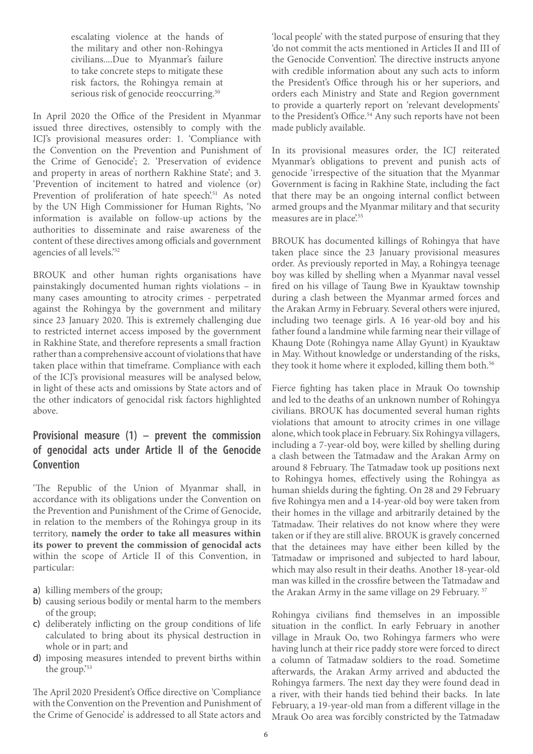escalating violence at the hands of the military and other non-Rohingya civilians....Due to Myanmar's failure to take concrete steps to mitigate these risk factors, the Rohingya remain at serious risk of genocide reoccurring.<sup>50</sup>

In April 2020 the Office of the President in Myanmar issued three directives, ostensibly to comply with the ICJ's provisional measures order: 1. 'Compliance with the Convention on the Prevention and Punishment of the Crime of Genocide'; 2. 'Preservation of evidence and property in areas of northern Rakhine State'; and 3. 'Prevention of incitement to hatred and violence (or) Prevention of proliferation of hate speech<sup>'51</sup> As noted by the UN High Commissioner for Human Rights, 'No information is available on follow-up actions by the authorities to disseminate and raise awareness of the content of these directives among officials and government agencies of all levels.'52

BROUK and other human rights organisations have painstakingly documented human rights violations – in many cases amounting to atrocity crimes - perpetrated against the Rohingya by the government and military since 23 January 2020. This is extremely challenging due to restricted internet access imposed by the government in Rakhine State, and therefore represents a small fraction rather than a comprehensive account of violations that have taken place within that timeframe. Compliance with each of the ICJ's provisional measures will be analysed below, in light of these acts and omissions by State actors and of the other indicators of genocidal risk factors highlighted above.

#### **Provisional measure (1) – prevent the commission of genocidal acts under Article II of the Genocide Convention**

'The Republic of the Union of Myanmar shall, in accordance with its obligations under the Convention on the Prevention and Punishment of the Crime of Genocide, in relation to the members of the Rohingya group in its territory, **namely the order to take all measures within its power to prevent the commission of genocidal acts** within the scope of Article II of this Convention, in particular:

- a) killing members of the group;
- b) causing serious bodily or mental harm to the members of the group;
- c) deliberately inflicting on the group conditions of life calculated to bring about its physical destruction in whole or in part; and
- d) imposing measures intended to prevent births within the group.'53

The April 2020 President's Office directive on 'Compliance with the Convention on the Prevention and Punishment of the Crime of Genocide' is addressed to all State actors and

'local people' with the stated purpose of ensuring that they 'do not commit the acts mentioned in Articles II and III of the Genocide Convention'. The directive instructs anyone with credible information about any such acts to inform the President's Office through his or her superiors, and orders each Ministry and State and Region government to provide a quarterly report on 'relevant developments' to the President's Office.<sup>54</sup> Any such reports have not been made publicly available.

In its provisional measures order, the ICJ reiterated Myanmar's obligations to prevent and punish acts of genocide 'irrespective of the situation that the Myanmar Government is facing in Rakhine State, including the fact that there may be an ongoing internal conflict between armed groups and the Myanmar military and that security measures are in place.<sup>55</sup>

BROUK has documented killings of Rohingya that have taken place since the 23 January provisional measures order. As previously reported in May, a Rohingya teenage boy was killed by shelling when a Myanmar naval vessel fired on his village of Taung Bwe in Kyauktaw township during a clash between the Myanmar armed forces and the Arakan Army in February. Several others were injured, including two teenage girls. A 16 year-old boy and his father found a landmine while farming near their village of Khaung Dote (Rohingya name Allay Gyunt) in Kyauktaw in May. Without knowledge or understanding of the risks, they took it home where it exploded, killing them both.<sup>56</sup>

Fierce fighting has taken place in Mrauk Oo township and led to the deaths of an unknown number of Rohingya civilians. BROUK has documented several human rights violations that amount to atrocity crimes in one village alone, which took place in February. Six Rohingya villagers, including a 7-year-old boy, were killed by shelling during a clash between the Tatmadaw and the Arakan Army on around 8 February. The Tatmadaw took up positions next to Rohingya homes, effectively using the Rohingya as human shields during the fighting. On 28 and 29 February five Rohingya men and a 14-year-old boy were taken from their homes in the village and arbitrarily detained by the Tatmadaw. Their relatives do not know where they were taken or if they are still alive. BROUK is gravely concerned that the detainees may have either been killed by the Tatmadaw or imprisoned and subjected to hard labour, which may also result in their deaths. Another 18-year-old man was killed in the crossfire between the Tatmadaw and the Arakan Army in the same village on 29 February. 57

Rohingya civilians find themselves in an impossible situation in the conflict. In early February in another village in Mrauk Oo, two Rohingya farmers who were having lunch at their rice paddy store were forced to direct a column of Tatmadaw soldiers to the road. Sometime afterwards, the Arakan Army arrived and abducted the Rohingya farmers. The next day they were found dead in a river, with their hands tied behind their backs. In late February, a 19-year-old man from a different village in the Mrauk Oo area was forcibly constricted by the Tatmadaw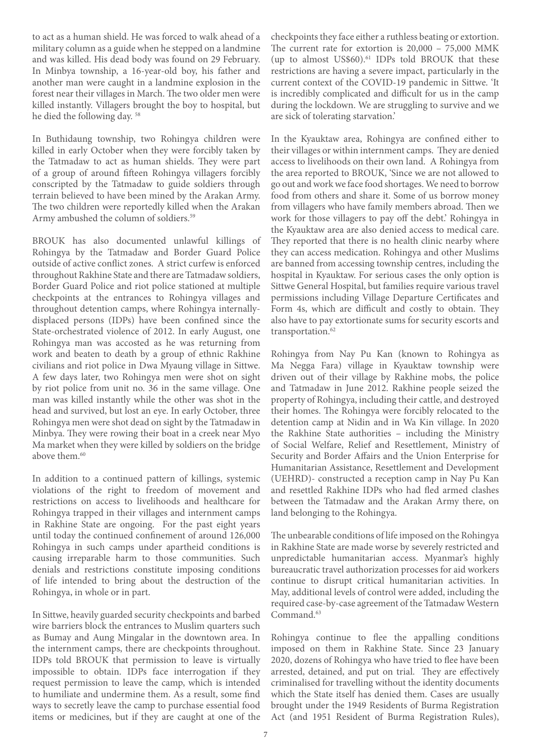to act as a human shield. He was forced to walk ahead of a military column as a guide when he stepped on a landmine and was killed. His dead body was found on 29 February. In Minbya township, a 16-year-old boy, his father and another man were caught in a landmine explosion in the forest near their villages in March. The two older men were killed instantly. Villagers brought the boy to hospital, but he died the following day. 58

In Buthidaung township, two Rohingya children were killed in early October when they were forcibly taken by the Tatmadaw to act as human shields. They were part of a group of around fifteen Rohingya villagers forcibly conscripted by the Tatmadaw to guide soldiers through terrain believed to have been mined by the Arakan Army. The two children were reportedly killed when the Arakan Army ambushed the column of soldiers.<sup>59</sup>

BROUK has also documented unlawful killings of Rohingya by the Tatmadaw and Border Guard Police outside of active conflict zones. A strict curfew is enforced throughout Rakhine State and there are Tatmadaw soldiers, Border Guard Police and riot police stationed at multiple checkpoints at the entrances to Rohingya villages and throughout detention camps, where Rohingya internallydisplaced persons (IDPs) have been confined since the State-orchestrated violence of 2012. In early August, one Rohingya man was accosted as he was returning from work and beaten to death by a group of ethnic Rakhine civilians and riot police in Dwa Myaung village in Sittwe. A few days later, two Rohingya men were shot on sight by riot police from unit no. 36 in the same village. One man was killed instantly while the other was shot in the head and survived, but lost an eye. In early October, three Rohingya men were shot dead on sight by the Tatmadaw in Minbya. They were rowing their boat in a creek near Myo Ma market when they were killed by soldiers on the bridge above them.<sup>60</sup>

In addition to a continued pattern of killings, systemic violations of the right to freedom of movement and restrictions on access to livelihoods and healthcare for Rohingya trapped in their villages and internment camps in Rakhine State are ongoing. For the past eight years until today the continued confinement of around 126,000 Rohingya in such camps under apartheid conditions is causing irreparable harm to those communities. Such denials and restrictions constitute imposing conditions of life intended to bring about the destruction of the Rohingya, in whole or in part.

In Sittwe, heavily guarded security checkpoints and barbed wire barriers block the entrances to Muslim quarters such as Bumay and Aung Mingalar in the downtown area. In the internment camps, there are checkpoints throughout. IDPs told BROUK that permission to leave is virtually impossible to obtain. IDPs face interrogation if they request permission to leave the camp, which is intended to humiliate and undermine them. As a result, some find ways to secretly leave the camp to purchase essential food items or medicines, but if they are caught at one of the

checkpoints they face either a ruthless beating or extortion. The current rate for extortion is 20,000 – 75,000 MMK (up to almost US\$60).<sup>61</sup> IDPs told BROUK that these restrictions are having a severe impact, particularly in the current context of the COVID-19 pandemic in Sittwe. 'It is incredibly complicated and difficult for us in the camp during the lockdown. We are struggling to survive and we are sick of tolerating starvation.'

In the Kyauktaw area, Rohingya are confined either to their villages or within internment camps. They are denied access to livelihoods on their own land. A Rohingya from the area reported to BROUK, 'Since we are not allowed to go out and work we face food shortages. We need to borrow food from others and share it. Some of us borrow money from villagers who have family members abroad. Then we work for those villagers to pay off the debt.' Rohingya in the Kyauktaw area are also denied access to medical care. They reported that there is no health clinic nearby where they can access medication. Rohingya and other Muslims are banned from accessing township centres, including the hospital in Kyauktaw. For serious cases the only option is Sittwe General Hospital, but families require various travel permissions including Village Departure Certificates and Form 4s, which are difficult and costly to obtain. They also have to pay extortionate sums for security escorts and transportation.<sup>62</sup>

Rohingya from Nay Pu Kan (known to Rohingya as Ma Negga Fara) village in Kyauktaw township were driven out of their village by Rakhine mobs, the police and Tatmadaw in June 2012. Rakhine people seized the property of Rohingya, including their cattle, and destroyed their homes. The Rohingya were forcibly relocated to the detention camp at Nidin and in Wa Kin village. In 2020 the Rakhine State authorities – including the Ministry of Social Welfare, Relief and Resettlement, Ministry of Security and Border Affairs and the Union Enterprise for Humanitarian Assistance, Resettlement and Development (UEHRD)- constructed a reception camp in Nay Pu Kan and resettled Rakhine IDPs who had fled armed clashes between the Tatmadaw and the Arakan Army there, on land belonging to the Rohingya.

The unbearable conditions of life imposed on the Rohingya in Rakhine State are made worse by severely restricted and unpredictable humanitarian access. Myanmar's highly bureaucratic travel authorization processes for aid workers continue to disrupt critical humanitarian activities. In May, additional levels of control were added, including the required case-by-case agreement of the Tatmadaw Western Command.<sup>63</sup>

Rohingya continue to flee the appalling conditions imposed on them in Rakhine State. Since 23 January 2020, dozens of Rohingya who have tried to flee have been arrested, detained, and put on trial. They are effectively criminalised for travelling without the identity documents which the State itself has denied them. Cases are usually brought under the 1949 Residents of Burma Registration Act (and 1951 Resident of Burma Registration Rules),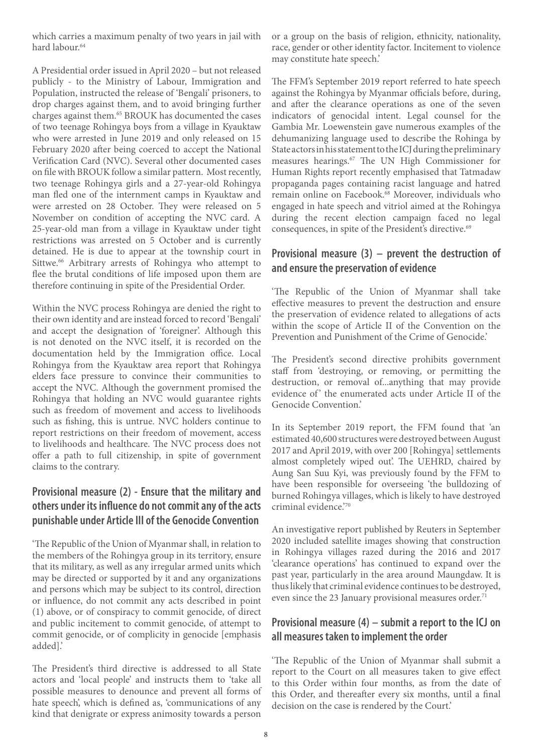which carries a maximum penalty of two years in jail with hard labour.<sup>64</sup>

A Presidential order issued in April 2020 – but not released publicly - to the Ministry of Labour, Immigration and Population, instructed the release of 'Bengali' prisoners, to drop charges against them, and to avoid bringing further charges against them.65 BROUK has documented the cases of two teenage Rohingya boys from a village in Kyauktaw who were arrested in June 2019 and only released on 15 February 2020 after being coerced to accept the National Verification Card (NVC). Several other documented cases on file with BROUK follow a similar pattern. Most recently, two teenage Rohingya girls and a 27-year-old Rohingya man fled one of the internment camps in Kyauktaw and were arrested on 28 October. They were released on 5 November on condition of accepting the NVC card. A 25-year-old man from a village in Kyauktaw under tight restrictions was arrested on 5 October and is currently detained. He is due to appear at the township court in Sittwe.<sup>66</sup> Arbitrary arrests of Rohingya who attempt to flee the brutal conditions of life imposed upon them are therefore continuing in spite of the Presidential Order.

Within the NVC process Rohingya are denied the right to their own identity and are instead forced to record 'Bengali' and accept the designation of 'foreigner'. Although this is not denoted on the NVC itself, it is recorded on the documentation held by the Immigration office. Local Rohingya from the Kyauktaw area report that Rohingya elders face pressure to convince their communities to accept the NVC. Although the government promised the Rohingya that holding an NVC would guarantee rights such as freedom of movement and access to livelihoods such as fishing, this is untrue. NVC holders continue to report restrictions on their freedom of movement, access to livelihoods and healthcare. The NVC process does not offer a path to full citizenship, in spite of government claims to the contrary.

#### **Provisional measure (2) - Ensure that the military and others under its influence do not commit any of the acts punishable under Article III of the Genocide Convention**

'The Republic of the Union of Myanmar shall, in relation to the members of the Rohingya group in its territory, ensure that its military, as well as any irregular armed units which may be directed or supported by it and any organizations and persons which may be subject to its control, direction or influence, do not commit any acts described in point (1) above, or of conspiracy to commit genocide, of direct and public incitement to commit genocide, of attempt to commit genocide, or of complicity in genocide [emphasis added].'

The President's third directive is addressed to all State actors and 'local people' and instructs them to 'take all possible measures to denounce and prevent all forms of hate speech', which is defined as, 'communications of any kind that denigrate or express animosity towards a person

or a group on the basis of religion, ethnicity, nationality, race, gender or other identity factor. Incitement to violence may constitute hate speech.'

The FFM's September 2019 report referred to hate speech against the Rohingya by Myanmar officials before, during, and after the clearance operations as one of the seven indicators of genocidal intent. Legal counsel for the Gambia Mr. Loewenstein gave numerous examples of the dehumanizing language used to describe the Rohinga by State actors in his statement to the ICJ during the preliminary measures hearings.67 The UN High Commissioner for Human Rights report recently emphasised that Tatmadaw propaganda pages containing racist language and hatred remain online on Facebook.<sup>68</sup> Moreover, individuals who engaged in hate speech and vitriol aimed at the Rohingya during the recent election campaign faced no legal consequences, in spite of the President's directive.<sup>69</sup>

#### **Provisional measure (3) – prevent the destruction of and ensure the preservation of evidence**

'The Republic of the Union of Myanmar shall take effective measures to prevent the destruction and ensure the preservation of evidence related to allegations of acts within the scope of Article II of the Convention on the Prevention and Punishment of the Crime of Genocide.'

The President's second directive prohibits government staff from 'destroying, or removing, or permitting the destruction, or removal of...anything that may provide evidence of' the enumerated acts under Article II of the Genocide Convention.'

In its September 2019 report, the FFM found that 'an estimated 40,600 structures were destroyed between August 2017 and April 2019, with over 200 [Rohingya] settlements almost completely wiped out'. The UEHRD, chaired by Aung San Suu Kyi, was previously found by the FFM to have been responsible for overseeing 'the bulldozing of burned Rohingya villages, which is likely to have destroyed criminal evidence.'70

An investigative report published by Reuters in September 2020 included satellite images showing that construction in Rohingya villages razed during the 2016 and 2017 'clearance operations' has continued to expand over the past year, particularly in the area around Maungdaw. It is thus likely that criminal evidence continues to be destroyed, even since the 23 January provisional measures order.<sup>71</sup>

#### **Provisional measure (4) – submit a report to the ICJ on all measures taken to implement the order**

'The Republic of the Union of Myanmar shall submit a report to the Court on all measures taken to give effect to this Order within four months, as from the date of this Order, and thereafter every six months, until a final decision on the case is rendered by the Court.'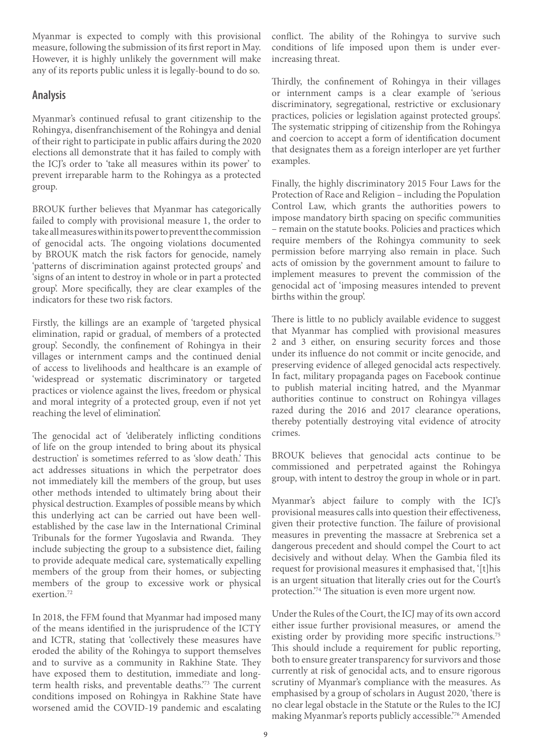Myanmar is expected to comply with this provisional measure, following the submission of its first report in May. However, it is highly unlikely the government will make any of its reports public unless it is legally-bound to do so.

#### **Analysis**

Myanmar's continued refusal to grant citizenship to the Rohingya, disenfranchisement of the Rohingya and denial of their right to participate in public affairs during the 2020 elections all demonstrate that it has failed to comply with the ICJ's order to 'take all measures within its power' to prevent irreparable harm to the Rohingya as a protected group.

BROUK further believes that Myanmar has categorically failed to comply with provisional measure 1, the order to take all measures within its power to prevent the commission of genocidal acts. The ongoing violations documented by BROUK match the risk factors for genocide, namely 'patterns of discrimination against protected groups' and 'signs of an intent to destroy in whole or in part a protected group'. More specifically, they are clear examples of the indicators for these two risk factors.

Firstly, the killings are an example of 'targeted physical elimination, rapid or gradual, of members of a protected group'. Secondly, the confinement of Rohingya in their villages or internment camps and the continued denial of access to livelihoods and healthcare is an example of 'widespread or systematic discriminatory or targeted practices or violence against the lives, freedom or physical and moral integrity of a protected group, even if not yet reaching the level of elimination'.

The genocidal act of 'deliberately inflicting conditions of life on the group intended to bring about its physical destruction' is sometimes referred to as 'slow death.' This act addresses situations in which the perpetrator does not immediately kill the members of the group, but uses other methods intended to ultimately bring about their physical destruction. Examples of possible means by which this underlying act can be carried out have been wellestablished by the case law in the International Criminal Tribunals for the former Yugoslavia and Rwanda. They include subjecting the group to a subsistence diet, failing to provide adequate medical care, systematically expelling members of the group from their homes, or subjecting members of the group to excessive work or physical exertion.72

In 2018, the FFM found that Myanmar had imposed many of the means identified in the jurisprudence of the ICTY and ICTR, stating that 'collectively these measures have eroded the ability of the Rohingya to support themselves and to survive as a community in Rakhine State. They have exposed them to destitution, immediate and longterm health risks, and preventable deaths.'73 The current conditions imposed on Rohingya in Rakhine State have worsened amid the COVID-19 pandemic and escalating

conflict. The ability of the Rohingya to survive such conditions of life imposed upon them is under everincreasing threat.

Thirdly, the confinement of Rohingya in their villages or internment camps is a clear example of 'serious discriminatory, segregational, restrictive or exclusionary practices, policies or legislation against protected groups'. The systematic stripping of citizenship from the Rohingya and coercion to accept a form of identification document that designates them as a foreign interloper are yet further examples.

Finally, the highly discriminatory 2015 Four Laws for the Protection of Race and Religion – including the Population Control Law, which grants the authorities powers to impose mandatory birth spacing on specific communities – remain on the statute books. Policies and practices which require members of the Rohingya community to seek permission before marrying also remain in place. Such acts of omission by the government amount to failure to implement measures to prevent the commission of the genocidal act of 'imposing measures intended to prevent births within the group'.

There is little to no publicly available evidence to suggest that Myanmar has complied with provisional measures 2 and 3 either, on ensuring security forces and those under its influence do not commit or incite genocide, and preserving evidence of alleged genocidal acts respectively. In fact, military propaganda pages on Facebook continue to publish material inciting hatred, and the Myanmar authorities continue to construct on Rohingya villages razed during the 2016 and 2017 clearance operations, thereby potentially destroying vital evidence of atrocity crimes.

BROUK believes that genocidal acts continue to be commissioned and perpetrated against the Rohingya group, with intent to destroy the group in whole or in part.

Myanmar's abject failure to comply with the ICJ's provisional measures calls into question their effectiveness, given their protective function. The failure of provisional measures in preventing the massacre at Srebrenica set a dangerous precedent and should compel the Court to act decisively and without delay. When the Gambia filed its request for provisional measures it emphasised that, '[t]his is an urgent situation that literally cries out for the Court's protection.'74 The situation is even more urgent now.

Under the Rules of the Court, the ICJ may of its own accord either issue further provisional measures, or amend the existing order by providing more specific instructions.<sup>75</sup> This should include a requirement for public reporting, both to ensure greater transparency for survivors and those currently at risk of genocidal acts, and to ensure rigorous scrutiny of Myanmar's compliance with the measures. As emphasised by a group of scholars in August 2020, 'there is no clear legal obstacle in the Statute or the Rules to the ICJ making Myanmar's reports publicly accessible.'76 Amended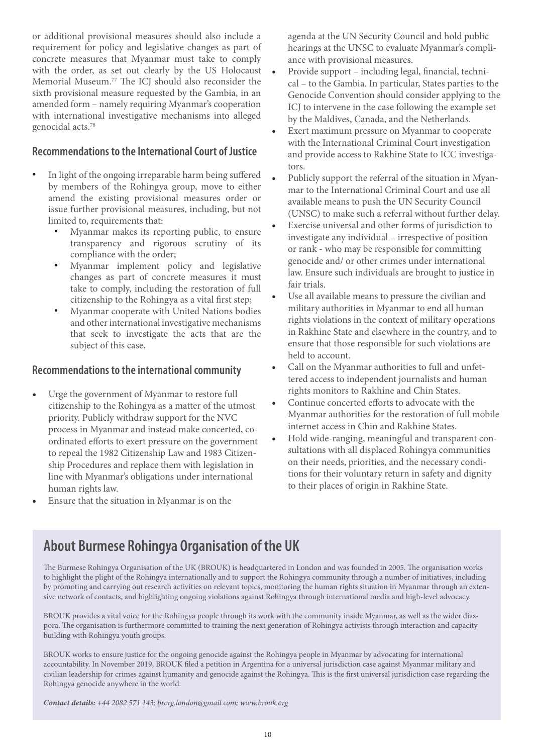or additional provisional measures should also include a requirement for policy and legislative changes as part of concrete measures that Myanmar must take to comply with the order, as set out clearly by the US Holocaust Memorial Museum.77 The ICJ should also reconsider the sixth provisional measure requested by the Gambia, in an amended form – namely requiring Myanmar's cooperation with international investigative mechanisms into alleged genocidal acts.78

#### **Recommendations to the International Court of Justice**

- In light of the ongoing irreparable harm being suffered by members of the Rohingya group, move to either amend the existing provisional measures order or issue further provisional measures, including, but not limited to, requirements that:
	- Myanmar makes its reporting public, to ensure transparency and rigorous scrutiny of its compliance with the order;
	- Myanmar implement policy and legislative changes as part of concrete measures it must take to comply, including the restoration of full citizenship to the Rohingya as a vital first step;
	- Myanmar cooperate with United Nations bodies and other international investigative mechanisms that seek to investigate the acts that are the subject of this case.

#### **Recommendations to the international community**

- Urge the government of Myanmar to restore full citizenship to the Rohingya as a matter of the utmost priority. Publicly withdraw support for the NVC process in Myanmar and instead make concerted, coordinated efforts to exert pressure on the government to repeal the 1982 Citizenship Law and 1983 Citizenship Procedures and replace them with legislation in line with Myanmar's obligations under international human rights law.
- Ensure that the situation in Myanmar is on the

agenda at the UN Security Council and hold public hearings at the UNSC to evaluate Myanmar's compliance with provisional measures.

- Provide support including legal, financial, technical – to the Gambia. In particular, States parties to the Genocide Convention should consider applying to the ICJ to intervene in the case following the example set by the Maldives, Canada, and the Netherlands.
- Exert maximum pressure on Myanmar to cooperate with the International Criminal Court investigation and provide access to Rakhine State to ICC investigators.
- Publicly support the referral of the situation in Myanmar to the International Criminal Court and use all available means to push the UN Security Council (UNSC) to make such a referral without further delay.
- Exercise universal and other forms of jurisdiction to investigate any individual – irrespective of position or rank - who may be responsible for committing genocide and/ or other crimes under international law. Ensure such individuals are brought to justice in fair trials.
- Use all available means to pressure the civilian and military authorities in Myanmar to end all human rights violations in the context of military operations in Rakhine State and elsewhere in the country, and to ensure that those responsible for such violations are held to account.
- Call on the Myanmar authorities to full and unfettered access to independent journalists and human rights monitors to Rakhine and Chin States.
- Continue concerted efforts to advocate with the Myanmar authorities for the restoration of full mobile internet access in Chin and Rakhine States.
- Hold wide-ranging, meaningful and transparent consultations with all displaced Rohingya communities on their needs, priorities, and the necessary conditions for their voluntary return in safety and dignity to their places of origin in Rakhine State.

### **About Burmese Rohingya Organisation of the UK**

The Burmese Rohingya Organisation of the UK (BROUK) is headquartered in London and was founded in 2005. The organisation works to highlight the plight of the Rohingya internationally and to support the Rohingya community through a number of initiatives, including by promoting and carrying out research activities on relevant topics, monitoring the human rights situation in Myanmar through an extensive network of contacts, and highlighting ongoing violations against Rohingya through international media and high-level advocacy.

BROUK provides a vital voice for the Rohingya people through its work with the community inside Myanmar, as well as the wider diaspora. The organisation is furthermore committed to training the next generation of Rohingya activists through interaction and capacity building with Rohingya youth groups.

BROUK works to ensure justice for the ongoing genocide against the Rohingya people in Myanmar by advocating for international accountability. In November 2019, BROUK filed a petition in Argentina for a universal jurisdiction case against Myanmar military and civilian leadership for crimes against humanity and genocide against the Rohingya. This is the first universal jurisdiction case regarding the Rohingya genocide anywhere in the world.

*Contact details: +44 2082 571 143; brorg.london@gmail.com; www.brouk.org*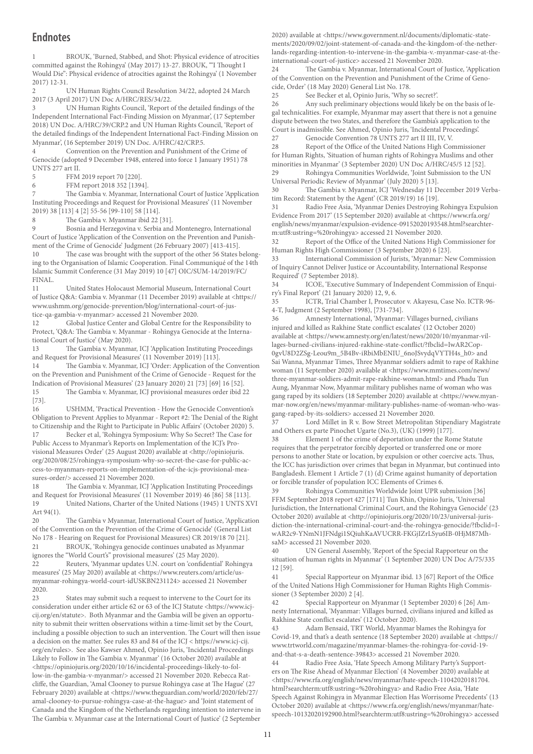#### **Endnotes**

1 BROUK, 'Burned, Stabbed, and Shot: Physical evidence of atrocities committed against the Rohingya' (May 2017) 13-27. BROUK, '"I Thought I Would Die": Physical evidence of atrocities against the Rohingya' (1 November 2017) 12-31.

2 UN Human Rights Council Resolution 34/22, adopted 24 March 2017 (3 April 2017) UN Doc A/HRC/RES/34/22.

3 UN Human Rights Council, 'Report of the detailed findings of the Independent International Fact-Finding Mission on Myanmar', (17 September 2018) UN Doc. A/HRC/39/CRP.2 and UN Human Rights Council, 'Report of the detailed findings of the Independent International Fact-Finding Mission on Myanmar', (16 September 2019) UN Doc. A/HRC/42/CRP.5.

Convention on the Prevention and Punishment of the Crime of Genocide (adopted 9 December 1948, entered into force 1 January 1951) 78 UNTS 277 art II.

5 FFM 2019 report 70 [220].

6 FFM report 2018 352 [1394].

7 The Gambia v. Myanmar, International Court of Justice 'Application Instituting Proceedings and Request for Provisional Measures' (11 November 2019) 38 [113] 4 [2] 55-56 [99-110] 58 [114].

8 The Gambia v. Myanmar ibid 22 [31].

9 Bosnia and Herzegovina v. Serbia and Montenegro, International Court of Justice 'Application of the Convention on the Prevention and Punishment of the Crime of Genocide' Judgment (26 February 2007) [413-415].

10 The case was brought with the support of the other 56 States belonging to the Organisation of Islamic Cooperation. Final Communiqué of the 14th Islamic Summit Conference (31 May 2019) 10 [47] OIC/SUM-14/2019/FC/ FINAL.

11 United States Holocaust Memorial Museum, International Court of Justice Q&A: Gambia v. Myanmar (11 December 2019) available at <https:// www.ushmm.org/genocide-prevention/blog/international-court-of-justice-qa-gambia-v-myanmar> accessed 21 November 2020.

12 Global Justice Center and Global Centre for the Responsibility to Protect, 'Q&A: The Gambia v. Myanmar - Rohingya Genocide at the International Court of Justice' (May 2020).

13 The Gambia v. Myanmar, ICJ 'Application Instituting Proceedings and Request for Provisional Measures' (11 November 2019) [113].

14 The Gambia v. Myanmar, ICJ 'Order: Application of the Convention on the Prevention and Punishment of the Crime of Genocide - Request for the Indication of Provisional Measures' (23 January 2020) 21 [73] [69] 16 [52]. 15 The Gambia v. Myanmar, ICJ provisional measures order ibid 22 [73].

16 USHMM, 'Practical Prevention - How the Genocide Convention's Obligation to Prevent Applies to Myanmar - Report #2: The Denial of the Right to Citizenship and the Right to Participate in Public Affairs' (October 2020) 5. Becker et al, 'Rohingya Symposium: Why So Secret? The Case for

Public Access to Myanmar's Reports on Implementation of the ICJ's Provisional Measures Order' (25 August 2020) available at <http://opiniojuris. org/2020/08/25/rohingya-symposium-why-so-secret-the-case-for-public-access-to-myanmars-reports-on-implementation-of-the-icjs-provisional-measures-order/> accessed 21 November 2020.

18 The Gambia v. Myanmar, ICJ 'Application Instituting Proceedings and Request for Provisional Measures' (11 November 2019) 46 [86] 58 [113]. 19 United Nations, Charter of the United Nations (1945) 1 UNTS XVI Art 94(1).

20 The Gambia v Myanmar, International Court of Justice, 'Application of the Convention on the Prevention of the Crime of Genocide' (General List No 178 - Hearing on Request for Provisional Measures) CR 2019/18 70 [21]. 21 BROUK, 'Rohingya genocide continues unabated as Myanmar ignores the "World Court's" provisional measures' (25 May 2020).

22 Reuters, 'Myanmar updates U.N. court on 'confidential' Rohingya measures' (25 May 2020) available at <https://www.reuters.com/article/usmyanmar-rohingya-world-court-idUSKBN231124> accessed 21 November 2020.

23 States may submit such a request to intervene to the Court for its consideration under either article 62 or 63 of the ICJ Statute <https://www.icjcij.org/en/statute>. Both Myanmar and the Gambia will be given an opportunity to submit their written observations within a time-limit set by the Court, including a possible objection to such an intervention. The Court will then issue a decision on the matter. See rules 83 and 84 of the ICJ < https://www.icj-cij. org/en/rules>. See also Kawser Ahmed, Opinio Juris, 'Incidental Proceedings Likely to Follow in The Gambia v. Myanmar' (16 October 2020) available at <https://opiniojuris.org/2020/10/16/incidental-proceedings-likely-to-follow-in-the-gambia-v-myanmar/> accessed 21 November 2020. Rebecca Ratcliffe, the Guardian, 'Amal Clooney to pursue Rohingya case at The Hague' (27 February 2020) available at <https://www.theguardian.com/world/2020/feb/27/ amal-clooney-to-pursue-rohingya-case-at-the-hague> and 'Joint statement of Canada and the Kingdom of the Netherlands regarding intention to intervene in The Gambia v. Myanmar case at the International Court of Justice' (2 September

2020) available at <https://www.government.nl/documents/diplomatic-statements/2020/09/02/joint-statement-of-canada-and-the-kingdom-of-the-netherlands-regarding-intention-to-intervene-in-the-gambia-v.-myanmar-case-at-theinternational-court-of-justice> accessed 21 November 2020.

24 The Gambia v. Myanmar, International Court of Justice, 'Application of the Convention on the Prevention and Punishment of the Crime of Genocide, Order' (18 May 2020) General List No. 178.

25 See Becker et al, Opinio Juris, 'Why so secret?'.<br>26 Any such preliminary objections would likely l

Any such preliminary objections would likely be on the basis of legal technicalities. For example, Myanmar may assert that there is not a genuine dispute between the two States, and therefore the Gambia's application to the Court is inadmissible. See Ahmed, Opinio Juris, 'Incidental Proceedings'.

27 Genocide Convention 78 UNTS 277 art II III, IV, V.<br>28 Report of the Office of the United Nations High Cor

Report of the Office of the United Nations High Commissioner for Human Rights, 'Situation of human rights of Rohingya Muslims and other minorities in Myanmar' (3 September 2020) UN Doc A/HRC/45/5 12 [52]. 29 Rohingya Communities Worldwide, 'Joint Submission to the UN Universal Periodic Review of Myanmar' (July 2020) 5 [13].

30 The Gambia v. Myanmar, ICJ 'Wednesday 11 December 2019 Verbatim Record: Statement by the Agent' (CR 2019/19) 16 [19].

31 Radio Free Asia, 'Myanmar Denies Destroying Rohingya Expulsion Evidence From 2017' (15 September 2020) available at <https://www.rfa.org/ english/news/myanmar/expulsion-evidence-09152020193548.html?searchterm:utf8:ustring=%20rohingya> accessed 21 November 2020.

Report of the Office of the United Nations High Commissioner for Human Rights High Commissioner (3 September 2020) 6 [23].

33 International Commission of Jurists, 'Myanmar: New Commission of Inquiry Cannot Deliver Justice or Accountability, International Response Required' (7 September 2018).

34 ICOE, 'Executive Summary of Independent Commission of Enquiry's Final Report' (21 January 2020) 12, 9, 6.

35 ICTR, Trial Chamber I, Prosecutor v. Akayesu, Case No. ICTR-96- 4-T, Judgment (2 September 1998), [731-734].

36 Amnesty International, 'Myanmar: Villages burned, civilians injured and killed as Rakhine State conflict escalates' (12 October 2020) available at <https://www.amnesty.org/en/latest/news/2020/10/myanmar-villages-burned-civilians-injured-rakhine-state-conflict/?fbclid=IwAR2Cop-0gvU8D2ZSg-Leou9m\_5B4Bv-iRbiMbENIU\_6noJSvydqVYTH4s\_h0> and Sai Wanna, Myanmar Times, Three Myanmar soldiers admit to rape of Rakhine woman (11 September 2020) available at <https://www.mmtimes.com/news/ three-myanmar-soldiers-admit-rape-rakhine-woman.html> and Phadu Tun Aung, Myanmar Now, Myanmar military publishes name of woman who was gang raped by its soldiers (18 September 2020) available at <https://www.myanmar-now.org/en/news/myanmar-military-publishes-name-of-woman-who-wasgang-raped-by-its-soldiers> accessed 21 November 2020.

37 Lord Millet in R v. Bow Street Metropolitan Stipendiary Magistrate and Others ex parte Pinochet Ugarte (No.3), (UK) (1999) [177].

38 Element 1 of the crime of deportation under the Rome Statute requires that the perpetrator forcibly deported or transferred one or more persons to another State or location, by expulsion or other coercive acts. Thus, the ICC has jurisdiction over crimes that began in Myanmar, but continued into Bangladesh. Element 1 Article 7 (1) (d) Crime against humanity of deportation or forcible transfer of population ICC Elements of Crimes 6.<br>39 Bohingya Communities Worldwide Joint UPR s

39 Rohingya Communities Worldwide Joint UPR submission [36] FFM September 2018 report 427 [1711] Tun Khin, Opinio Juris, 'Universal Jurisdiction, the International Criminal Court, and the Rohingya Genocide' (23 October 2020) available at <http://opiniojuris.org/2020/10/23/universal-jurisdiction-the-international-criminal-court-and-the-rohingya-genocide/?fbclid=IwAR2c9-YNmN1JFNdgi1SQiuhKaAVUCRR-FKGjIZrLSyu6IB-0HjM87MhsaM> accessed 21 November 2020.

40 UN General Assembly, 'Report of the Special Rapporteur on the situation of human rights in Myanmar' (1 September 2020) UN Doc A/75/335 12 [59].

41 Special Rapporteur on Myanmar ibid. 13 [67] Report of the Office of the United Nations High Commissioner for Human Rights High Commissioner (3 September 2020) 2 [4].

42 Special Rapporteur on Myanmar (1 September 2020) 6 [26] Amnesty International, 'Myanmar: Villages burned, civilians injured and killed as Rakhine State conflict escalates' (12 October 2020).

43 Adam Bensaid, TRT World, Myanmar blames the Rohingya for Covid-19, and that's a death sentence (18 September 2020) available at <https:// www.trtworld.com/magazine/myanmar-blames-the-rohingya-for-covid-19 and-that-s-a-death-sentence-39843> accessed 21 November 2020.

44 Radio Free Asia, 'Hate Speech Among Military Party's Supporters on The Rise Ahead of Myanmar Election' (4 November 2020) available at <https://www.rfa.org/english/news/myanmar/hate-speech-11042020181704. html?searchterm:utf8:ustring=%20rohingya> and Radio Free Asia, 'Hate Speech Against Rohingya in Myanmar Election Has Worrisome Precedents' (13 October 2020) available at <https://www.rfa.org/english/news/myanmar/hatespeech-10132020192900.html?searchterm:utf8:ustring=%20rohingya> accessed